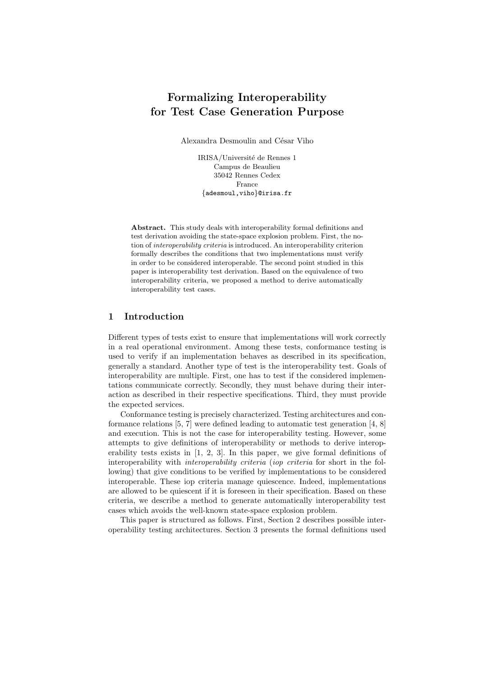# **Formalizing Interoperability for Test Case Generation Purpose**

Alexandra Desmoulin and César Viho

IRISA/Université de Rennes 1 Campus de Beaulieu 35042 Rennes Cedex France {adesmoul,viho}@irisa.fr

**Abstract.** This study deals with interoperability formal definitions and test derivation avoiding the state-space explosion problem. First, the notion of *interoperability criteria* is introduced. An interoperability criterion formally describes the conditions that two implementations must verify in order to be considered interoperable. The second point studied in this paper is interoperability test derivation. Based on the equivalence of two interoperability criteria, we proposed a method to derive automatically interoperability test cases.

## **1 Introduction**

Different types of tests exist to ensure that implementations will work correctly in a real operational environment. Among these tests, conformance testing is used to verify if an implementation behaves as described in its specification, generally a standard. Another type of test is the interoperability test. Goals of interoperability are multiple. First, one has to test if the considered implementations communicate correctly. Secondly, they must behave during their interaction as described in their respective specifications. Third, they must provide the expected services.

Conformance testing is precisely characterized. Testing architectures and conformance relations [5, 7] were defined leading to automatic test generation [4, 8] and execution. This is not the case for interoperability testing. However, some attempts to give definitions of interoperability or methods to derive interoperability tests exists in [1, 2, 3]. In this paper, we give formal definitions of interoperability with *interoperability criteria* (*iop criteria* for short in the following) that give conditions to be verified by implementations to be considered interoperable. These iop criteria manage quiescence. Indeed, implementations are allowed to be quiescent if it is foreseen in their specification. Based on these criteria, we describe a method to generate automatically interoperability test cases which avoids the well-known state-space explosion problem.

This paper is structured as follows. First, Section 2 describes possible interoperability testing architectures. Section 3 presents the formal definitions used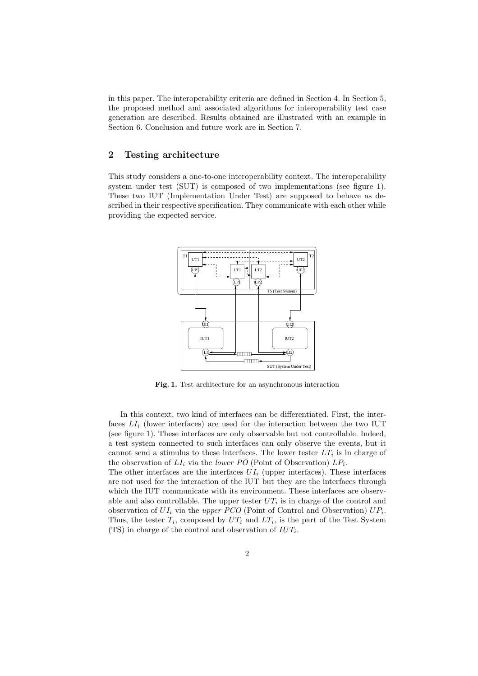in this paper. The interoperability criteria are defined in Section 4. In Section 5, the proposed method and associated algorithms for interoperability test case generation are described. Results obtained are illustrated with an example in Section 6. Conclusion and future work are in Section 7.

# **2 Testing architecture**

This study considers a one-to-one interoperability context. The interoperability system under test (SUT) is composed of two implementations (see figure 1). These two IUT (Implementation Under Test) are supposed to behave as described in their respective specification. They communicate with each other while providing the expected service.



**Fig. 1.** Test architecture for an asynchronous interaction

In this context, two kind of interfaces can be differentiated. First, the interfaces  $LI_i$  (lower interfaces) are used for the interaction between the two IUT (see figure 1). These interfaces are only observable but not controllable. Indeed, a test system connected to such interfaces can only observe the events, but it cannot send a stimulus to these interfaces. The lower tester  $LT_i$  is in charge of the observation of  $LI_i$  via the *lower PO* (Point of Observation)  $LP_i$ .

The other interfaces are the interfaces  $UI_i$  (upper interfaces). These interfaces are not used for the interaction of the IUT but they are the interfaces through which the IUT communicate with its environment. These interfaces are observable and also controllable. The upper tester  $UT_i$  is in charge of the control and observation of  $UI_i$  via the *upper PCO* (Point of Control and Observation)  $UP_i$ . Thus, the tester  $T_i$ , composed by  $UT_i$  and  $LT_i$ , is the part of the Test System (TS) in charge of the control and observation of  $IUT_i$ .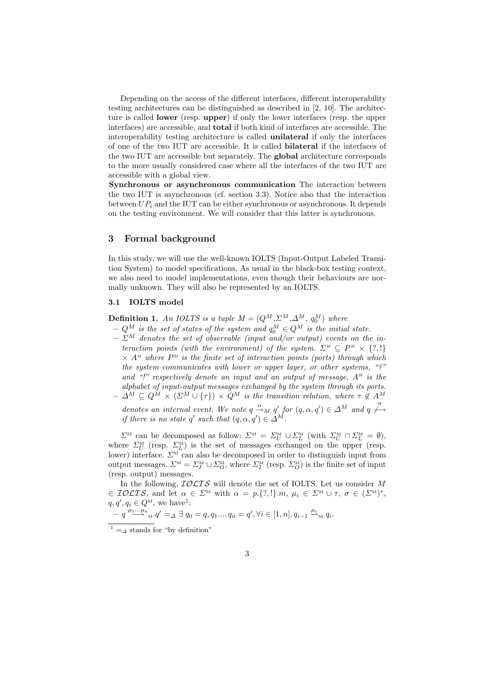Depending on the access of the different interfaces, different interoperability testing architectures can be distinguished as described in [2, 10]. The architecture is called **lower** (resp. **upper**) if only the lower interfaces (resp. the upper interfaces) are accessible, and **total** if both kind of interfaces are accessible. The interoperability testing architecture is called **unilateral** if only the interfaces of one of the two IUT are accessible. It is called **bilateral** if the interfaces of the two IUT are accessible but separately. The **global** architecture corresponds to the more usually considered case where all the interfaces of the two IUT are accessible with a global view.

**Synchronous or asynchronous communication** The interaction between the two IUT is asynchronous (cf. section 3.3). Notice also that the interaction between  $UP_i$  and the IUT can be either synchronous or asynchronous. It depends on the testing environment. We will consider that this latter is synchronous.

## **3 Formal background**

In this study, we will use the well-known IOLTS (Input-Output Labeled Transition System) to model specifications. As usual in the black-box testing context, we also need to model implementations, even though their behaviours are normally unknown. They will also be represented by an IOLTS.

## **3.1 IOLTS model**

**Definition 1.** An IOLTS is a tuple  $M = (Q^M, \Sigma^M, \Delta^M, q_0^M)$  where

- $Q^M$  *is the set of states of the system and*  $q_0^M \in Q^M$  *is the initial state.*
- $-\sum_{i=1}^{M}$  denotes the set of observable (input and/or output) events on the in*teraction points (with the environment) of the system.*  $\Sigma^M \subseteq P^M \times \{?, !\}$  $\times$   $A^M$  where  $P^M$  is the finite set of interaction points (ports) through which *the system communicates with lower or upper layer, or other systems, "?" and "!" respectively denote an input and an output of message,* A*<sup>M</sup> is the alphabet of input-output messages exchanged by the system through its ports.*  $\varDelta^M \subseteq Q^M \times (\varSigma^M \cup \{\tau\}) \times Q^M$  *is the transition relation, where*  $\tau \notin A^M$

*denotes an internal event. We note*  $q \stackrel{\alpha}{\longrightarrow}_M q'$  for  $(q, \alpha, q') \in \Delta^M$  and  $q \stackrel{\alpha}{\longleftarrow}$ *if there is no state* q' *such that*  $(q, \alpha, q') \in \tilde{\Delta}^{\tilde{M}}$ .

 $\Sigma^{\text{M}}$  can be decomposed as follow:  $\Sigma^{\text{M}} = \Sigma_{U}^{\text{M}} \cup \Sigma_{L}^{\text{M}}$  (with  $\Sigma_{U}^{\text{M}} \cap \Sigma_{L}^{\text{M}} = \emptyset$ ), where  $\sum_{U}^{M}$  (resp.  $\sum_{L}^{M}$ ) is the set of messages exchanged on the upper (resp. lower) interface.  $\Sigma^M$  can also be decomposed in order to distinguish input from output messages.  $\mathcal{L}^M = \mathcal{L}_I^M \cup \mathcal{L}_O^M$ , where  $\mathcal{L}_I^M$  (resp.  $\mathcal{L}_O^M$ ) is the finite set of input (resp. output) messages.

In the following,  $IOLTS$  will denote the set of IOLTS. Let us consider M  $\in \mathcal{IOLTS}$ , and let  $\alpha \in \mathcal{L}^M$  with  $\alpha = p.\{?, !\}.m, \mu_i \in \mathcal{L}^M \cup \tau, \sigma \in (\mathcal{L}^M)^*,$  $q, q', q_i \in Q^M$ , we have<sup>1</sup>:

$$
- q \xrightarrow{\mu_1 \dots \mu_n} q' =_\Delta \exists q_0 = q, q_1 \dots, q_n = q', \forall i \in [1, n], q_{i-1} \xrightarrow{\mu_i} q_i.
$$

 $1 = \lambda$  stands for "by definition"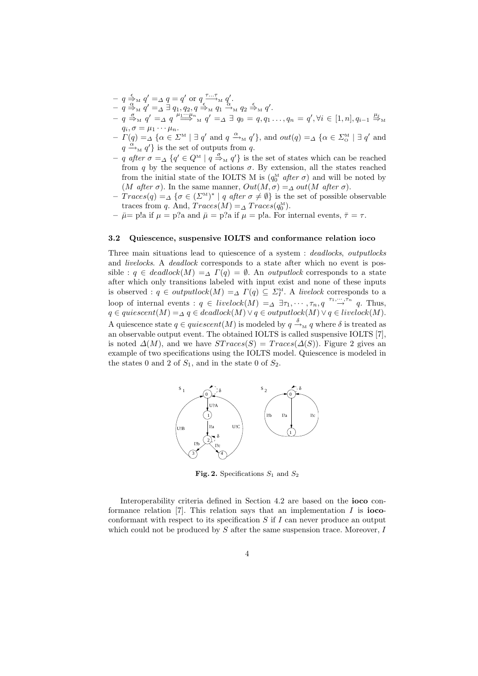- $-q \stackrel{\epsilon}{\underset{\alpha}{\to}} M q' = \Delta q = q'$  or  $q \stackrel{\tau... \tau}{\underset{\epsilon}{\longrightarrow}} M q'$ .
- $-\, q \stackrel{\alpha}{\Rightarrow_M} q' = \stackrel{\cdots}{\Delta} \exists \, q_1, q_2, q \stackrel{\epsilon}{\Rightarrow_M} q_1 \stackrel{\cdots}{\rightarrow_M} q_2 \stackrel{\epsilon}{\Rightarrow_M} q'.$
- $\begin{aligned} -q \stackrel{\sigma}{\Rightarrow}_M q' =_{\Delta} q \stackrel{\mu_1 \cdots \mu_n}{\Longrightarrow}_M q' =_{\Delta} \exists q_0 = q, q_1 \ldots, q_n = q', \forall i \in [1, n], q_{i-1} \stackrel{\mu_i}{\Rightarrow}_M \end{aligned}$  $q_i, \sigma = \mu_1 \cdots \mu_n.$
- $-\Gamma(q) = \Delta \{ \alpha \in \Sigma^M \mid \exists q' \text{ and } q \xrightarrow{\alpha} q' \}, \text{ and } out(q) = \Delta \{ \alpha \in \Sigma^M \mid \exists q' \text{ and } q' \}$  $q \stackrel{\alpha}{\longrightarrow}_M q'$  is the set of outputs from q.
- $-$  *q after*  $\sigma$  =<sub>△</sub> { $q' \in Q^M \mid q \stackrel{\sigma}{\Rightarrow}_M q'$ } is the set of states which can be reached from q by the sequence of actions  $\sigma$ . By extension, all the states reached from the initial state of the IOLTS M is  $(q_0^M \text{ after } \sigma)$  and will be noted by (*M after*  $\sigma$ ). In the same manner,  $Out(M, \sigma) = \Delta out(M \text{ after } \sigma)$ .
- **–** T races(q) =<sup>∆</sup> {<sup>σ</sup> <sup>∈</sup> (ΣM)<sup>∗</sup> <sup>|</sup> <sup>q</sup> *after* <sup>σ</sup> <sup>=</sup> ∅} is the set of possible observable traces from q. And,  $Traces(M) = \Delta Trace(s(q_0^M))$ .
- $-\bar{\mu}$ = p!a if  $\mu = p$ ?a and  $\bar{\mu} = p$ ?a if  $\mu = p$ !a. For internal events,  $\bar{\tau} = \tau$ .

#### **3.2 Quiescence, suspensive IOLTS and conformance relation ioco**

Three main situations lead to quiescence of a system : *deadlocks*, *outputlocks* and *livelocks*. A *deadlock* corresponds to a state after which no event is possible :  $q \in deadlock(M) = \Delta \Gamma(q) = \emptyset$ . An *outputlock* corresponds to a state after which only transitions labeled with input exist and none of these inputs is observed :  $q \in outputlock(M) = \Delta \Gamma(q) \subseteq \Sigma_I^M$ . A *livelock* corresponds to a loop of internal events :  $q \in *livelock*(M) =<sub>\Delta</sub> \exists \tau_1, \dots, \tau_n, q \stackrel{\tau_1, \dots, \tau_n}{\rightarrow} q$ . Thus,  $q \in quiescent(M) = \Delta q \in deadlock(M) \vee q \in outputlock(M) \vee q \in livelock(M).$ A quiescence state  $q \in quiescent(M)$  is modeled by  $q \stackrel{\delta}{\rightarrow}_M q$  where  $\delta$  is treated as an observable output event. The obtained IOLTS is called suspensive IOLTS [7], is noted  $\Delta(M)$ , and we have  $STraces(S) = Traces(\Delta(S))$ . Figure 2 gives an example of two specifications using the IOLTS model. Quiescence is modeled in the states 0 and 2 of  $S_1$ , and in the state 0 of  $S_2$ .



**Fig. 2.** Specifications  $S_1$  and  $S_2$ 

Interoperability criteria defined in Section 4.2 are based on the **ioco** conformance relation [7]. This relation says that an implementation I is **ioco**conformant with respect to its specification  $S$  if  $I$  can never produce an output which could not be produced by  $S$  after the same suspension trace. Moreover,  $I$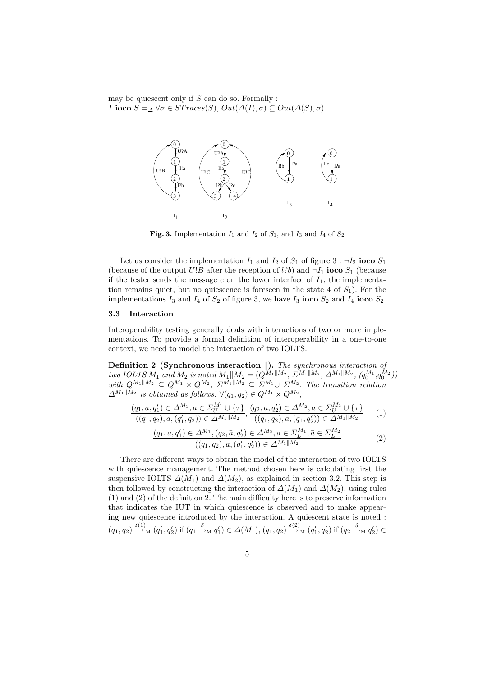may be quiescent only if  $S$  can do so. Formally : *I* **ioco**  $S = \Delta \ \forall \sigma \in STraces(S), Out(\Delta(I), \sigma) \subseteq Out(\Delta(S), \sigma).$ 



**Fig. 3.** Implementation  $I_1$  and  $I_2$  of  $S_1$ , and  $I_3$  and  $I_4$  of  $S_2$ 

Let us consider the implementation  $I_1$  and  $I_2$  of  $S_1$  of figure  $3 : \neg I_2$  **ioco**  $S_1$ (because of the output  $U!B$  after the reception of  $l?b$ ) and  $\neg I_1$  **ioco**  $S_1$  (because if the tester sends the message c on the lower interface of  $I_1$ , the implementation remains quiet, but no quiescence is foreseen in the state 4 of  $S_1$ ). For the implementations  $I_3$  and  $I_4$  of  $S_2$  of figure 3, we have  $I_3$  **ioco**  $S_2$  and  $I_4$  **ioco**  $S_2$ .

## **3.3 Interaction**

Interoperability testing generally deals with interactions of two or more implementations. To provide a formal definition of interoperability in a one-to-one context, we need to model the interaction of two IOLTS.

**Definition 2 (Synchronous interaction ).** *The synchronous interaction of*  $two \, IOLTS M_1 \, and \, M_2 \, is \, noted \, M_1 \parallel M_2 = (Q^{M_1 \parallel M_2} \, , \, \Sigma^{M_1 \parallel M_2} \, , \, \Delta^{M_1 \parallel M_2} \, , \, (q_0^{M_1} , q_0^{M_2}))$  $with \ Q^{M_1||M_2} \subseteq Q^{M_1} \times Q^{M_2}, \ \Sigma^{M_1||M_2} \subseteq \Sigma^{M_1} \cup \Sigma^{M_2}$ . The transition relation  $\Delta^{M_1||M_2}$  *is obtained as follows.*  $\forall (q_1, q_2) \in Q^{M_1} \times Q^{M_2}$ ,

$$
\frac{(q_1, a, q'_1) \in \Delta^{M_1}, a \in \Sigma_U^{M_1} \cup \{\tau\}}{((q_1, q_2), a, (q'_1, q_2)) \in \Delta^{M_1} \parallel M_2}, \frac{(q_2, a, q'_2) \in \Delta^{M_2}, a \in \Sigma_U^{M_2} \cup \{\tau\}}{((q_1, q_2), a, (q_1, q'_2)) \in \Delta^{M_1} \parallel M_2}
$$
(1)

$$
\frac{(q_1, a, q'_1) \in \Delta^{M_1}, (q_2, \bar{a}, q'_2) \in \Delta^{M_2}, a \in \Sigma_L^{M_1}, \bar{a} \in \Sigma_L^{M_2}}{((q_1, q_2), a, (q'_1, q'_2)) \in \Delta^{M_1 \| M_2}}
$$
\n
$$
(2)
$$

There are different ways to obtain the model of the interaction of two IOLTS with quiescence management. The method chosen here is calculating first the suspensive IOLTS  $\Delta(M_1)$  and  $\Delta(M_2)$ , as explained in section 3.2. This step is then followed by constructing the interaction of  $\Delta(M_1)$  and  $\Delta(M_2)$ , using rules (1) and (2) of the definition 2. The main difficulty here is to preserve information that indicates the IUT in which quiescence is observed and to make appearing new quiescence introduced by the interaction. A quiescent state is noted :  $(q_1, q_2) \stackrel{\delta(1)}{\rightarrow}_{\scriptscriptstyle{\text{M}}} (q'_1, q'_2)$  if  $(q_1 \stackrel{\delta}{\rightarrow}_{\scriptscriptstyle{\text{M}}} q'_1) \in \Delta(M_1), (q_1, q_2) \stackrel{\delta(2)}{\rightarrow}_{\scriptscriptstyle{\text{M}}} (q'_1, q'_2)$  if  $(q_2 \stackrel{\delta}{\rightarrow}_{\scriptscriptstyle{\text{M}}} q'_2) \in$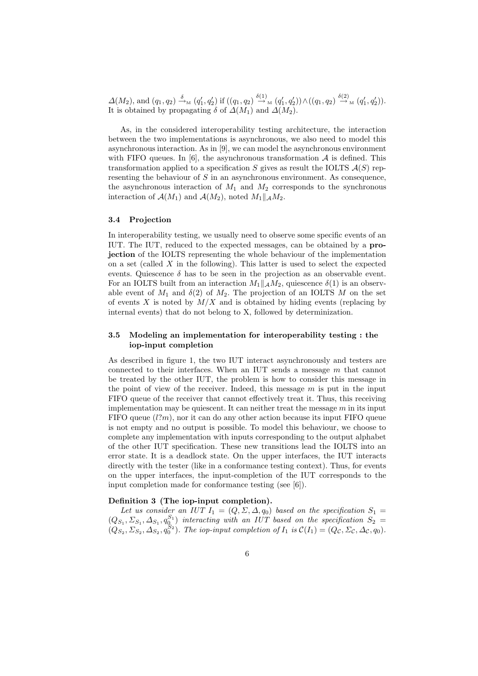$\Delta(M_2)$ , and  $(q_1, q_2) \stackrel{\delta}{\rightarrow}_{\text{M}} (q'_1, q'_2)$  if  $((q_1, q_2) \stackrel{\delta(1)}{\rightarrow}_{\text{M}} (q'_1, q'_2)) \wedge ((q_1, q_2) \stackrel{\delta(2)}{\rightarrow}_{\text{M}} (q'_1, q'_2)).$ It is obtained by propagating  $\delta$  of  $\Delta(M_1)$  and  $\Delta(M_2)$ .

As, in the considered interoperability testing architecture, the interaction between the two implementations is asynchronous, we also need to model this asynchronous interaction. As in [9], we can model the asynchronous environment with FIFO queues. In [6], the asynchronous transformation  $A$  is defined. This transformation applied to a specification S gives as result the IOLTS  $\mathcal{A}(S)$  representing the behaviour of S in an asynchronous environment. As consequence, the asynchronous interaction of  $M_1$  and  $M_2$  corresponds to the synchronous interaction of  $\mathcal{A}(M_1)$  and  $\mathcal{A}(M_2)$ , noted  $M_1||_{\mathcal{A}}M_2$ .

#### **3.4 Projection**

In interoperability testing, we usually need to observe some specific events of an IUT. The IUT, reduced to the expected messages, can be obtained by a **projection** of the IOLTS representing the whole behaviour of the implementation on a set (called  $X$  in the following). This latter is used to select the expected events. Quiescence  $\delta$  has to be seen in the projection as an observable event. For an IOLTS built from an interaction  $M_1||_A M_2$ , quiescence  $\delta(1)$  is an observable event of  $M_1$  and  $\delta(2)$  of  $M_2$ . The projection of an IOLTS M on the set of events  $X$  is noted by  $M/X$  and is obtained by hiding events (replacing by internal events) that do not belong to X, followed by determinization.

## **3.5 Modeling an implementation for interoperability testing : the iop-input completion**

As described in figure 1, the two IUT interact asynchronously and testers are connected to their interfaces. When an IUT sends a message m that cannot be treated by the other IUT, the problem is how to consider this message in the point of view of the receiver. Indeed, this message  $m$  is put in the input FIFO queue of the receiver that cannot effectively treat it. Thus, this receiving implementation may be quiescent. It can neither treat the message  $m$  in its input FIFO queue  $(l?m)$ , nor it can do any other action because its input FIFO queue is not empty and no output is possible. To model this behaviour, we choose to complete any implementation with inputs corresponding to the output alphabet of the other IUT specification. These new transitions lead the IOLTS into an error state. It is a deadlock state. On the upper interfaces, the IUT interacts directly with the tester (like in a conformance testing context). Thus, for events on the upper interfaces, the input-completion of the IUT corresponds to the input completion made for conformance testing (see [6]).

## **Definition 3 (The iop-input completion).**

Let us consider an IUT  $I_1 = (Q, \Sigma, \Delta, q_0)$  based on the specification  $S_1 =$  $(Q_{S_1}, \Sigma_{S_1}, \Delta_{S_1}, q_0^{S_1})$  interacting with an IUT based on the specification  $S_2 =$  $(Q_{S_2}, \Sigma_{S_2}, \Delta_{S_2}, q_0^{S_2})$ . The iop-input completion of  $I_1$  is  $\mathcal{C}(I_1)=(Q_{\mathcal{C}}, \Sigma_{\mathcal{C}}, \Delta_{\mathcal{C}}, q_0)$ .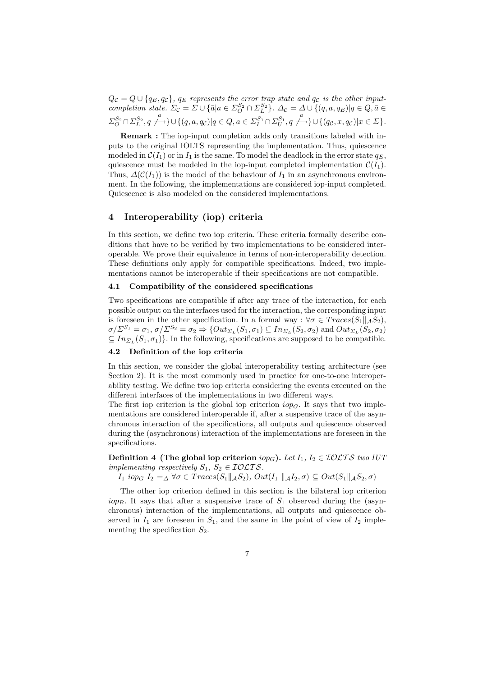$Q_{\mathcal{C}} = Q \cup \{q_E, q_C\}, q_E$  represents the error trap state and  $q_C$  is the other input*completion state.*  $\Sigma_c = \Sigma \cup \{\bar{a} | a \in \Sigma_O^{S_2} \cap \Sigma_L^{S_2}\}\.$   $\Delta_c = \Delta \cup \{(q, a, q_E) | q \in Q, \bar{a} \in \Sigma_O^{S_2} \}$  $\varSigma^{S_2}_O \cap \varSigma^{S_2}_L, q \xrightarrow{a} \cup \{(q,a,q_\mathcal{C}) | q \in Q, a \in \varSigma^{S_1}_I \cap \varSigma^{S_1}_U, q \xleftarrow{a} \cup \{(q_\mathcal{C},x,q_\mathcal{C}) | x \in \varSigma\}.$ 

**Remark :** The iop-input completion adds only transitions labeled with inputs to the original IOLTS representing the implementation. Thus, quiescence modeled in  $\mathcal{C}(I_1)$  or in  $I_1$  is the same. To model the deadlock in the error state  $q_E$ . quiescence must be modeled in the iop-input completed implementation  $\mathcal{C}(I_1)$ . Thus,  $\Delta(C(I_1))$  is the model of the behaviour of  $I_1$  in an asynchronous environment. In the following, the implementations are considered iop-input completed. Quiescence is also modeled on the considered implementations.

## **4 Interoperability (iop) criteria**

In this section, we define two iop criteria. These criteria formally describe conditions that have to be verified by two implementations to be considered interoperable. We prove their equivalence in terms of non-interoperability detection. These definitions only apply for compatible specifications. Indeed, two implementations cannot be interoperable if their specifications are not compatible.

## **4.1 Compatibility of the considered specifications**

Two specifications are compatible if after any trace of the interaction, for each possible output on the interfaces used for the interaction, the corresponding input is foreseen in the other specification. In a formal way :  $\forall \sigma \in Traces(S_1 || A S_2)$ ,  $\sigma/\Sigma^{S_1} = \sigma_1, \sigma/\Sigma^{S_2} = \sigma_2 \Rightarrow \{Out_{\Sigma_L}(S_1, \sigma_1) \subseteq In_{\Sigma_L}(S_2, \sigma_2) \text{ and } Out_{\Sigma_L}(S_2, \sigma_2) \}$  $\subseteq In_{\Sigma_L}(S_1,\sigma_1)$ . In the following, specifications are supposed to be compatible.

## **4.2 Definition of the iop criteria**

In this section, we consider the global interoperability testing architecture (see Section 2). It is the most commonly used in practice for one-to-one interoperability testing. We define two iop criteria considering the events executed on the different interfaces of the implementations in two different ways.

The first iop criterion is the global iop criterion  $i_{\sigma}$ . It says that two implementations are considered interoperable if, after a suspensive trace of the asynchronous interaction of the specifications, all outputs and quiescence observed during the (asynchronous) interaction of the implementations are foreseen in the specifications.

**Definition 4 (The global iop criterion**  $i_{opG}$ ). Let  $I_1, I_2 \in \mathcal{IOLTS}$  two IUT *implementing respectively*  $S_1$ ,  $S_2 \in \mathcal{IOLTS}$ .

 $I_1$  iop<sub>G</sub>  $I_2 = \Delta \ \forall \sigma \in Traces(S_1 \| \mathcal{A}S_2), Out(I_1 \| \mathcal{A}I_2, \sigma) \subseteq Out(S_1 \| \mathcal{A}S_2, \sigma)$ 

The other iop criterion defined in this section is the bilateral iop criterion  $i_{op}$ . It says that after a suspensive trace of  $S_1$  observed during the (asynchronous) interaction of the implementations, all outputs and quiescence observed in  $I_1$  are foreseen in  $S_1$ , and the same in the point of view of  $I_2$  implementing the specification  $S_2$ .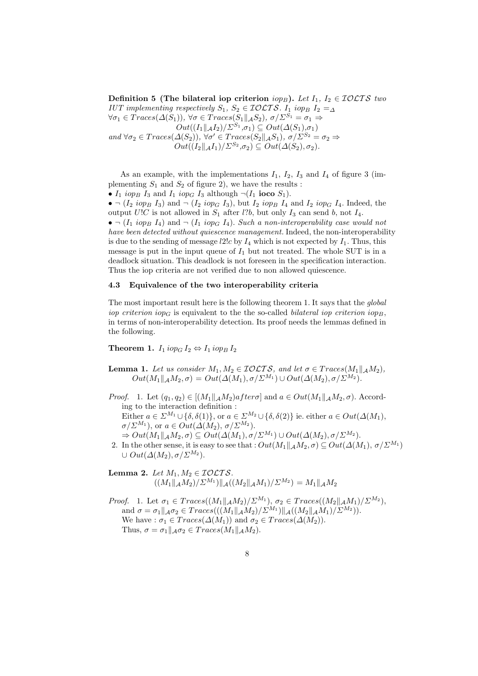**Definition 5 (The bilateral iop criterion**  $iop_B$ ). Let  $I_1, I_2 \in \mathcal{IOLTS}$  *two IUT implementing respectively*  $S_1$ ,  $S_2 \in \mathcal{IOLTS}$ .  $I_1$  *iop<sub>B</sub>*  $I_2 = \Delta$  $\forall \sigma_1 \in Traces(\Delta(S_1)), \forall \sigma \in Traces(S_1 || A S_2), \sigma/\Sigma^{S_1} = \sigma_1 \Rightarrow$ 

 $Out((I_1||_{\mathcal{A}}I_2)/\Sigma^{S_1}, \sigma_1) \subseteq Out(\Delta(S_1), \sigma_1)$ 

and  $\forall \sigma_2 \in Traces(\Delta(S_2)), \forall \sigma' \in Traces(S_2||_{\mathcal{A}}S_1), \sigma/\Sigma^{S_2} = \sigma_2 \Rightarrow$  $Out((I_2||_{\mathcal{A}}I_1)/\Sigma^{S_2},\sigma_2) \subseteq Out(\Delta(S_2),\sigma_2).$ 

As an example, with the implementations  $I_1$ ,  $I_2$ ,  $I_3$  and  $I_4$  of figure 3 (implementing  $S_1$  and  $S_2$  of figure 2), we have the results :

•  $I_1$  *iop<sub>B</sub>*  $I_3$  and  $I_1$  *iop<sub>G</sub>*  $I_3$  although  $\neg$ ( $I_1$  **ioco**  $S_1$ ).

•  $(I_2$  iop<sub>B</sub> I<sub>3</sub>) and  $\lnot$  (I<sub>2</sub> iop<sub>G</sub> I<sub>3</sub>), but I<sub>2</sub> iop<sub>B</sub> I<sub>4</sub> and I<sub>2</sub> iop<sub>G</sub> I<sub>4</sub>. Indeed, the output  $U!C$  is not allowed in  $S_1$  after l?b, but only  $I_3$  can send b, not  $I_4$ .  $\bullet$   $\neg$   $(I_1$  *iop<sub>B</sub>*  $I_4$  and  $\neg$   $(I_1$  *iop<sub>G</sub>*  $I_4$ *). Such a non-interoperability case would not have been detected without quiescence management.* Indeed, the non-interoperability is due to the sending of message  $l2!c$  by  $I_4$  which is not expected by  $I_1$ . Thus, this message is put in the input queue of  $I_1$  but not treated. The whole SUT is in a deadlock situation. This deadlock is not foreseen in the specification interaction. Thus the iop criteria are not verified due to non allowed quiescence.

## **4.3 Equivalence of the two interoperability criteria**

The most important result here is the following theorem 1. It says that the *global iop criterion*  $i_{\alpha}$  is equivalent to the the so-called *bilateral iop criterion*  $i_{\alpha}$ . in terms of non-interoperability detection. Its proof needs the lemmas defined in the following.

**Theorem 1.**  $I_1$  iop<sub>G</sub>  $I_2 \Leftrightarrow I_1$  iop<sub>B</sub>  $I_2$ 

- **Lemma 1.** Let us consider  $M_1, M_2 \in \mathcal{IOLTS}$ , and let  $\sigma \in Traces(M_1||_A M_2)$ ,  $Out(M_1||_A M_2, \sigma) = Out(\Delta(M_1), \sigma/\Sigma^{M_1}) \cup Out(\Delta(M_2), \sigma/\Sigma^{M_2}).$
- *Proof.* 1. Let  $(q_1, q_2) \in [(M_1 \| A M_2) a f t e \tau \sigma]$  and  $a \in Out(M_1 \| A M_2, \sigma)$ . According to the interaction definition : Either  $a \in \Sigma^{M_1} \cup \{\delta, \delta(1)\}\,$ , or  $a \in \Sigma^{M_2} \cup \{\delta, \delta(2)\}\$ ie. either  $a \in Out(\Delta(M_1),$  $\sigma/\Sigma^{M_1}$ ), or  $a \in Out(\Delta(M_2), \sigma/\Sigma^{M_2})$ .  $\Rightarrow Out(M_1||_\mathcal{A} M_2, \sigma) \subseteq Out(\Delta(M_1), \sigma/\Sigma^{M_1}) \cup Out(\Delta(M_2), \sigma/\Sigma^{M_2}).$
- 2. In the other sense, it is easy to see that :  $Out(M_1||_A M_2, \sigma) \subseteq Out(\Delta(M_1), \sigma/\Sigma^{M_1})$  $\cup Out(\Delta(M_2), \sigma/\Sigma^{M_2}).$

**Lemma 2.** *Let*  $M_1, M_2 \in \mathcal{IOLTS}$ .  $((M_1 \| A M_2) / \Sigma^{M_1}) \| A ((M_2 \| A M_1) / \Sigma^{M_2}) = M_1 \| A M_2$ 

*Proof.* 1. Let  $\sigma_1 \in Traces((M_1||_\mathcal{A} M_2)/\Sigma^{M_1}), \sigma_2 \in Traces((M_2||_\mathcal{A} M_1)/\Sigma^{M_2}),$ and  $\sigma = \sigma_1 ||_{\mathcal{A}} \sigma_2 \in Trace(((M_1 ||_{\mathcal{A}} M_2) / \Sigma^{M_1}) ||_{\mathcal{A}} ((M_2 ||_{\mathcal{A}} M_1) / \Sigma^{M_2})).$ We have :  $\sigma_1 \in Traces(\Delta(M_1))$  and  $\sigma_2 \in Traces(\Delta(M_2)).$ Thus,  $\sigma = \sigma_1 ||_{\mathcal{A}} \sigma_2 \in Traces(M_1 ||_{\mathcal{A}} M_2).$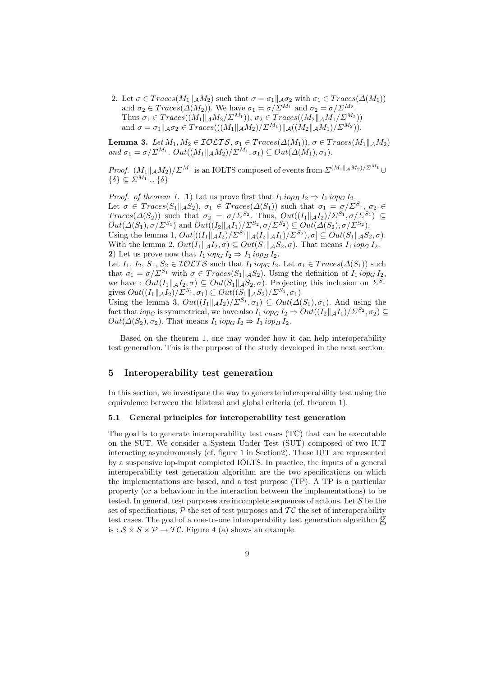2. Let  $\sigma \in Traces(M_1 || AM_2)$  such that  $\sigma = \sigma_1 || A\sigma_2$  with  $\sigma_1 \in Traces(\Delta(M_1))$ and  $\sigma_2 \in Traces(\Delta(M_2))$ . We have  $\sigma_1 = \sigma/\Sigma^{M_1}$  and  $\sigma_2 = \sigma/\Sigma^{M_2}$ . Thus  $\sigma_1 \in Trace((M_1 || A M_2 / \Sigma^{M_1})), \sigma_2 \in Trace((M_2 || A M_1 / \Sigma^{M_2}))$ and  $\sigma = \sigma_1 ||_{\mathcal{A}} \sigma_2 \in Trace(((M_1 ||_{\mathcal{A}} M_2) / \Sigma^{M_1}) ||_{\mathcal{A}} ((M_2 ||_{\mathcal{A}} M_1) / \Sigma^{M_2})).$ 

**Lemma 3.** *Let*  $M_1, M_2 \in \mathcal{IOLTS}$ ,  $\sigma_1 \in Traces(\Delta(M_1)), \sigma \in Traces(M_1 || A M_2)$ and  $\sigma_1 = \sigma / \Sigma^{M_1}$ .  $Out((M_1||_A M_2)/\Sigma^{M_1}, \sigma_1) \subseteq Out(\Delta(M_1), \sigma_1)$ .

*Proof.*  $(M_1||AM_2)/\Sigma^{M_1}$  is an IOLTS composed of events from  $\Sigma^{(M_1||AM_2)/\Sigma^{M_1}}$  $\{\delta\} \subseteq \Sigma^{M_1} \cup \{\delta\}$ 

*Proof. of theorem 1.* **1**) Let us prove first that  $I_1$  iop<sub>B</sub>  $I_2 \Rightarrow I_1$  iop<sub>G</sub>  $I_2$ . Let  $\sigma \in Traces(S_1||_{\mathcal{A}}S_2), \sigma_1 \in Traces(\Delta(S_1))$  such that  $\sigma_1 = \sigma/\Sigma^{S_1}, \sigma_2 \in$ Traces( $\Delta(S_2)$ ) such that  $\sigma_2 = \sigma/\Sigma^{S_2}$ . Thus,  $Out((I_1||_{\mathcal{A}}I_2)/\Sigma^{S_1}, \sigma/\Sigma^{S_1}) \subseteq$  $Out(\Delta(S_1), \sigma/\Sigma^{S_1})$  and  $Out((I_2||_{\mathcal{A}}I_1)/\Sigma^{S_2}, \sigma/\Sigma^{S_2}) \subseteq Out(\Delta(S_2), \sigma/\Sigma^{S_2}).$ Using the lemma 1,  $Out[((I_1||A_{I_2})/\Sigma^{S_1}||A(I_2||A_{I_1})/\Sigma^{S_2}), \sigma] \subseteq Out(S_1||A_{I_2}, \sigma).$ With the lemma 2,  $Out(I_1||_A I_2, \sigma) \subseteq Out(S_1||_A S_2, \sigma)$ . That means  $I_1$  iop<sub>G</sub>  $I_2$ . **2**) Let us prove now that  $I_1$  iop<sub>G</sub>  $I_2 \Rightarrow I_1$  iop<sub>B</sub>  $I_2$ . Let  $I_1$ ,  $I_2$ ,  $S_1$ ,  $S_2 \in \mathcal{IOLTS}$  such that  $I_1$  iop<sub>G</sub> $I_2$ . Let  $\sigma_1 \in \mathcal{I}reces(\Delta(S_1))$  such that  $\sigma_1 = \sigma / \Sigma^{S_1}$  with  $\sigma \in Traces(S_1 || A S_2)$ . Using the definition of  $I_1$  iop<sub>G</sub>  $I_2$ , we have :  $Out(I_1||_A I_2, \sigma) \subseteq Out(S_1||_A S_2, \sigma)$ . Projecting this inclusion on  $\Sigma^{S_1}$ gives  $Out((I_1 \|_{\mathcal{A}} I_2)/\Sigma^{S_1}, \sigma_1) \subseteq Out((S_1 \|_{\mathcal{A}} S_2)/\Sigma^{S_1}, \sigma_1)$ Using the lemma 3,  $Out((I_1||_A I_2)/\Sigma^{S_1}, \sigma_1) \subseteq Out(\Delta(S_1), \sigma_1)$ . And using the fact that  $i \in \mathcal{O}_G$  is symmetrical, we have also  $I_1 i \in \mathcal{O}_G I_2 \Rightarrow Out((I_2||_{\mathcal{A}} I_1)/\Sigma^{S_2}, \sigma_2) \subseteq$ 

 $Out(\Delta(S_2), \sigma_2)$ . That means  $I_1$  iop<sub>G</sub>  $I_2 \Rightarrow I_1$  iop<sub>B</sub>  $I_2$ .

Based on the theorem 1, one may wonder how it can help interoperability test generation. This is the purpose of the study developed in the next section.

# **5 Interoperability test generation**

In this section, we investigate the way to generate interoperability test using the equivalence between the bilateral and global criteria (cf. theorem 1).

### **5.1 General principles for interoperability test generation**

The goal is to generate interoperability test cases (TC) that can be executable on the SUT. We consider a System Under Test (SUT) composed of two IUT interacting asynchronously (cf. figure 1 in Section2). These IUT are represented by a suspensive iop-input completed IOLTS. In practice, the inputs of a general interoperability test generation algorithm are the two specifications on which the implementations are based, and a test purpose (TP). A TP is a particular property (or a behaviour in the interaction between the implementations) to be tested. In general, test purposes are incomplete sequences of actions. Let  $\mathcal S$  be the set of specifications,  $\mathcal P$  the set of test purposes and  $\mathcal T\mathcal C$  the set of interoperability test cases. The goal of a one-to-one interoperability test generation algorithm  $\mathfrak{g}$ is :  $S \times S \times P \rightarrow T\mathcal{C}$ . Figure 4 (a) shows an example.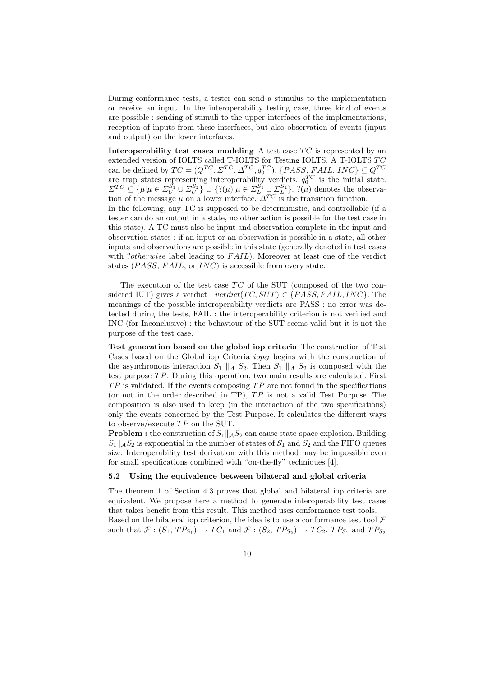During conformance tests, a tester can send a stimulus to the implementation or receive an input. In the interoperability testing case, three kind of events are possible : sending of stimuli to the upper interfaces of the implementations, reception of inputs from these interfaces, but also observation of events (input and output) on the lower interfaces.

**Interoperability test cases modeling** A test case  $TC$  is represented by an extended version of IOLTS called T-IOLTS for Testing IOLTS. A T-IOLTS  $TC$ can be defined by  $TC = (Q^{TC}, \Sigma^{TC}, \Delta^{TC}, q_0^{TC})$ . {PASS, FAIL, INC}  $\subseteq Q^{TC}$ are trap states representing interoperability verdicts.  $q_0^{TC}$  is the initial state.  $\Sigma^{TC} \subseteq {\{\mu|\bar{\mu} \in \Sigma_{U}^{S_1} \cup \Sigma_{U}^{S_2}\}} \cup {\{?(\mu)|\mu \in \Sigma_{L}^{S_1} \cup \Sigma_{L}^{S_2}\}}.$   $?(\mu)$  denotes the observation of the message  $\mu$  on a lower interface.  $\Delta^{TC}$  is the transition function. In the following, any TC is supposed to be deterministic, and controllable (if a

tester can do an output in a state, no other action is possible for the test case in this state). A TC must also be input and observation complete in the input and observation states : if an input or an observation is possible in a state, all other inputs and observations are possible in this state (generally denoted in test cases with ?*otherwise* label leading to  $FAIL$ . Moreover at least one of the verdict states ( $PASS, FAIL$ , or  $INC$ ) is accessible from every state.

The execution of the test case  $TC$  of the SUT (composed of the two considered IUT) gives a verdict :  $verdict(TC, SUT) \in \{PASS, FAIL, INC\}$ . The meanings of the possible interoperability verdicts are PASS : no error was detected during the tests, FAIL : the interoperability criterion is not verified and INC (for Inconclusive) : the behaviour of the SUT seems valid but it is not the purpose of the test case.

**Test generation based on the global iop criteria** The construction of Test Cases based on the Global iop Criteria  $i \circ p_G$  begins with the construction of the asynchronous interaction  $S_1 \parallel_A S_2$ . Then  $S_1 \parallel_A S_2$  is composed with the test purpose  $TP$ . During this operation, two main results are calculated. First  $TP$  is validated. If the events composing  $TP$  are not found in the specifications (or not in the order described in TP),  $TP$  is not a valid Test Purpose. The composition is also used to keep (in the interaction of the two specifications) only the events concerned by the Test Purpose. It calculates the different ways to observe/execute  $TP$  on the SUT.

**Problem :** the construction of  $S_1||_A S_2$  can cause state-space explosion. Building  $S_1||_A S_2$  is exponential in the number of states of  $S_1$  and  $S_2$  and the FIFO queues size. Interoperability test derivation with this method may be impossible even for small specifications combined with "on-the-fly" techniques [4].

#### **5.2 Using the equivalence between bilateral and global criteria**

The theorem 1 of Section 4.3 proves that global and bilateral iop criteria are equivalent. We propose here a method to generate interoperability test cases that takes benefit from this result. This method uses conformance test tools. Based on the bilateral iop criterion, the idea is to use a conformance test tool  $\mathcal F$ such that  $\mathcal{F} : (S_1, TP_{S_1}) \to TC_1$  and  $\mathcal{F} : (S_2, TP_{S_2}) \to TC_2$ .  $TP_{S_1}$  and  $TP_{S_2}$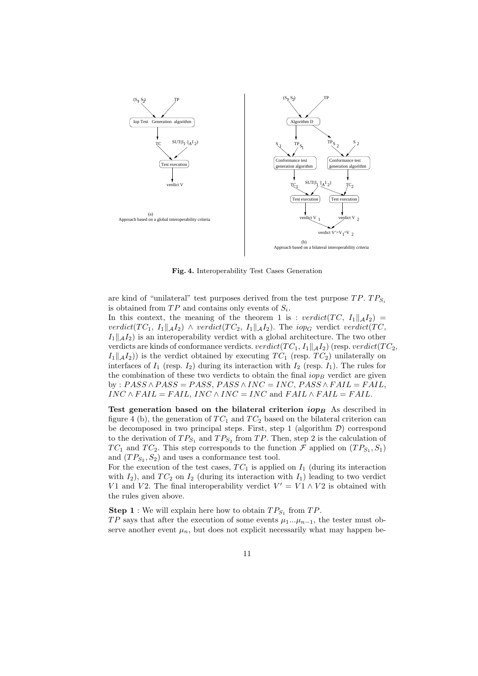

**Fig. 4.** Interoperability Test Cases Generation

are kind of "unilateral" test purposes derived from the test purpose  $TP$ .  $TP_{S_i}$ is obtained from  $TP$  and contains only events of  $S_i$ .

In this context, the meaning of the theorem 1 is :  $verdict(TC, I_1||_A I_2)$  = verdict(TC<sub>1</sub>,  $I_1||_A I_2$ )  $\wedge$  verdict(TC<sub>2</sub>,  $I_1||_A I_2$ ). The iop<sub>G</sub> verdict verdict(TC,  $I_1||_A I_2$ ) is an interoperability verdict with a global architecture. The two other verdicts are kinds of conformance verdicts. verdict(TC<sub>1</sub>,  $I_1 \parallel A_2$ ) (resp. verdict(TC<sub>2</sub>,  $I_1||A_2|$ ) is the verdict obtained by executing  $TC_1$  (resp.  $TC_2$ ) unilaterally on interfaces of  $I_1$  (resp.  $I_2$ ) during its interaction with  $I_2$  (resp.  $I_1$ ). The rules for the combination of these two verdicts to obtain the final  $i_{op}$  verdict are given by :  $PASS \wedge PASS = PASS, PASS \wedge INC = INC, PASS \wedge FAIL = FAIL,$  $INC \wedge FAIL = FAIL$ ,  $INC \wedge INC = INC$  and  $FAIL \wedge FAIL = FAIL$ .

**Test generation based on the bilateral criterion**  $i_{OPB}$  As described in figure 4 (b), the generation of  $TC_1$  and  $TC_2$  based on the bilateral criterion can be decomposed in two principal steps. First, step 1 (algorithm  $\mathcal{D}$ ) correspond to the derivation of  $TP_{S_1}$  and  $TP_{S_2}$  from TP. Then, step 2 is the calculation of  $TC_1$  and  $TC_2$ . This step corresponds to the function F applied on  $(TP_{S_1}, S_1)$ and  $(TP_{S_2}, S_2)$  and uses a conformance test tool.

For the execution of the test cases,  $TC_1$  is applied on  $I_1$  (during its interaction with  $I_2$ ), and  $TC_2$  on  $I_2$  (during its interaction with  $I_1$ ) leading to two verdict V1 and V2. The final interoperability verdict  $V' = V1 \wedge V2$  is obtained with the rules given above.

**Step 1** : We will explain here how to obtain  $TP_{S_1}$  from  $TP$ .

TP says that after the execution of some events  $\mu_1...\mu_{n-1}$ , the tester must observe another event  $\mu_n$ , but does not explicit necessarily what may happen be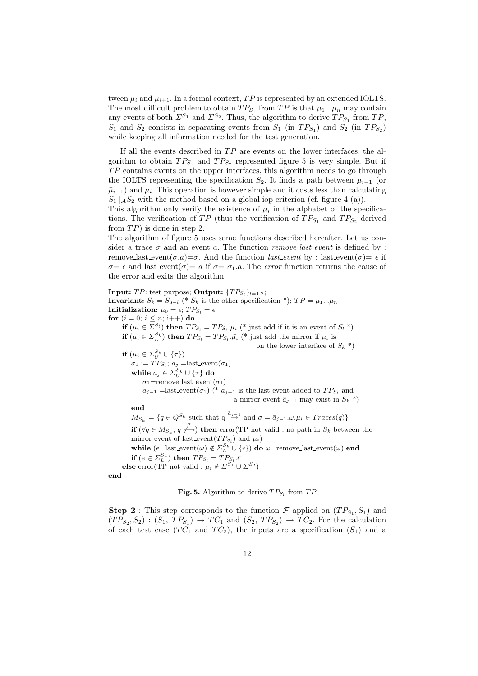tween  $\mu_i$  and  $\mu_{i+1}$ . In a formal context, TP is represented by an extended IOLTS. The most difficult problem to obtain  $TP_{S_1}$  from TP is that  $\mu_1...\mu_n$  may contain any events of both  $\Sigma^{S_1}$  and  $\Sigma^{S_2}$ . Thus, the algorithm to derive  $TP_{S_1}$  from  $TP$ ,  $S_1$  and  $S_2$  consists in separating events from  $S_1$  (in  $TP_{S_1}$ ) and  $S_2$  (in  $TP_{S_2}$ ) while keeping all information needed for the test generation.

If all the events described in  $TP$  are events on the lower interfaces, the algorithm to obtain  $TP_{S_1}$  and  $TP_{S_2}$  represented figure 5 is very simple. But if  $TP$  contains events on the upper interfaces, this algorithm needs to go through the IOLTS representing the specification  $S_2$ . It finds a path between  $\mu_{i-1}$  (or  $\bar{\mu}_{i-1}$ ) and  $\mu_i$ . This operation is however simple and it costs less than calculating  $S_1 \|$ <sub>A</sub> $S_2$  with the method based on a global iop criterion (cf. figure 4 (a)).

This algorithm only verify the existence of  $\mu_i$  in the alphabet of the specifications. The verification of  $TP$  (thus the verification of  $TP_{S_1}$  and  $TP_{S_2}$  derived from  $TP$ ) is done in step 2.

The algorithm of figure 5 uses some functions described hereafter. Let us consider a trace  $\sigma$  and an event a. The function *remove* last event is defined by : remove last event $(\sigma.a)=\sigma$ . And the function *last event* by : last event $(\sigma)=\epsilon$  if  $\sigma = \epsilon$  and last event( $\sigma$ ) = a if  $\sigma = \sigma_1.a$ . The *error* function returns the cause of the error and exits the algorithm.

**Input:**  $TP$ : test purpose; **Output:**  ${TP_{S_i}}_{l=1,2}$ ; **Invariant:**  $S_k = S_{3-l}$  (\*  $S_k$  is the other specification \*);  $TP = \mu_1...\mu_n$ **Initialization:**  $\mu_0 = \epsilon$ ;  $TP_{S_1} = \epsilon$ ; **for**  $(i = 0; i \leq n; i++)$  **do if**  $(\mu_i \in \Sigma^{S_l})$  **then**  $TP_{S_l} = TP_{S_l} \cdot \mu_i$  (\* just add if it is an event of  $S_l$  \*) **if**  $(\mu_i \in \Sigma_L^{S_k})$  **then**  $TP_{S_l} = TP_{S_l} \cdot \bar{\mu}_i$  (\* just add the mirror if  $\mu_i$  is on the lower interface of  $S_k$ <sup>\*</sup>) **if**  $(\mu_i \in \Sigma_{U}^{S_k} \cup {\tau})$  $\sigma_1 := TP_{S_l}; a_j =$ last\_event $(\sigma_1)$ **while**  $a_j \in \Sigma_{U}^{S_k} \cup \{\tau\}$  **do**  $\sigma_1$ =remove\_last\_event $(\sigma_1)$  $a_{j-1}$  =last event( $\sigma_1$ ) (\*  $a_{j-1}$  is the last event added to  $TP_{S_l}$  and a mirror event  $\bar{a}_{i-1}$  may exist in  $S_k$ <sup>\*</sup>) **end**  $M_{S_k} = \{q \in Q^{S_k} \text{ such that } q \stackrel{\bar{a}_{j-1}}{\rightarrow} \text{ and } \sigma = \bar{a}_{j-1} \ldots \mu_i \in Trace(q)\}\$ **if** ( $\forall q \in M_{S_k}, q \nleftrightarrow$ ) **then** error(TP not valid : no path in  $S_k$  between the mirror event of last\_event( $TP_{S_l}$ ) and  $\mu_i$ ) **while**  $(e=$ last event $(\omega) \notin \Sigma_L^{S_k} \cup \{\epsilon\})$  **do**  $\omega$ =remove last event $(\omega)$  **end if**  $(e \in \sum_{l=1}^{S_k})$  **then**  $TP_{S_l} = TP_{S_l} \cdot \overline{e}$ **else** error(TP not valid :  $\mu_i \notin \Sigma^{S_1} \cup \Sigma^{S_2}$ ) **end**

## **Fig. 5.** Algorithm to derive  $TP_{S_l}$  from  $TP$

**Step 2** : This step corresponds to the function  $\mathcal{F}$  applied on  $(T P_{S_1}, S_1)$  and  $(T P_{S_2}, S_2) : (S_1, T P_{S_1}) \rightarrow T C_1$  and  $(S_2, T P_{S_2}) \rightarrow T C_2$ . For the calculation of each test case  $(T C_1$  and  $T C_2$ ), the inputs are a specification  $(S_1)$  and a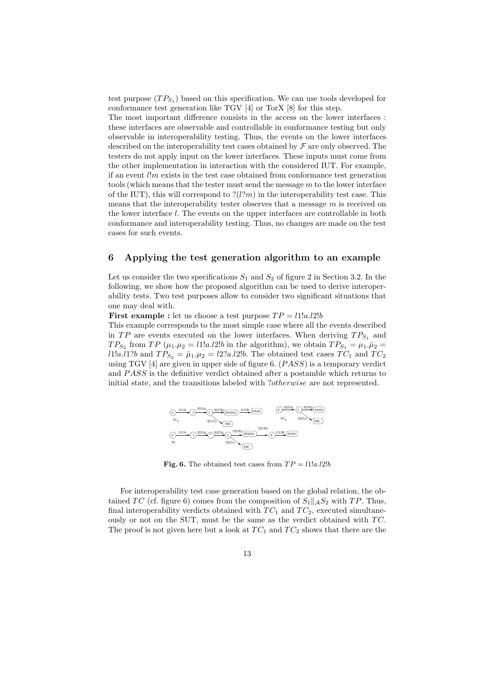test purpose  $(T P_{S_1})$  based on this specification. We can use tools developed for conformance test generation like TGV [4] or TorX [8] for this step.

The most important difference consists in the access on the lower interfaces : these interfaces are observable and controllable in conformance testing but only observable in interoperability testing. Thus, the events on the lower interfaces described on the interoperability test cases obtained by  $\mathcal F$  are only observed. The testers do not apply input on the lower interfaces. These inputs must come from the other implementation in interaction with the considered IUT. For example, if an event  $\ell \mid m$  exists in the test case obtained from conformance test generation tools (which means that the tester must send the message  $m$  to the lower interface of the IUT), this will correspond to  $?(l?m)$  in the interoperability test case. This means that the interoperability tester observes that a message  $m$  is received on the lower interface l. The events on the upper interfaces are controllable in both conformance and interoperability testing. Thus, no changes are made on the test cases for such events.

# **6 Applying the test generation algorithm to an example**

Let us consider the two specifications  $S_1$  and  $S_2$  of figure 2 in Section 3.2. In the following, we show how the proposed algorithm can be used to derive interoperability tests. Two test purposes allow to consider two significant situations that one may deal with.

**First example :** let us choose a test purpose  $TP = 11!a.12!b$ 

This example corresponds to the most simple case where all the events described in TP are events executed on the lower interfaces. When deriving  $TP_{S_1}$  and  $TP_{S_2}$  from  $TP(\mu_1.\mu_2 = l1!a.l2!b$  in the algorithm), we obtain  $TP_{S_1} = \mu_1.\bar{\mu}_2 =$ *l*1!*a.l*1?*b* and  $TP_{S_2} = \bar{\mu}_1.\mu_2 = l2?a.l2!b$ . The obtained test cases  $TC_1$  and  $TC_2$ using TGV  $[4]$  are given in upper side of figure 6.  $(PASS)$  is a temporary verdict and PASS is the definitive verdict obtained after a postamble which returns to initial state, and the transitions labeled with ?*otherwise* are not represented.



**Fig. 6.** The obtained test cases from  $TP = 11!a.12!b$ 

For interoperability test case generation based on the global relation, the obtained TC (cf. figure 6) comes from the composition of  $S_1||_A S_2$  with TP. Thus, final interoperability verdicts obtained with  $TC_1$  and  $TC_2$ , executed simultaneously or not on the SUT, must be the same as the verdict obtained with  $TC$ . The proof is not given here but a look at  $TC_1$  and  $TC_2$  shows that there are the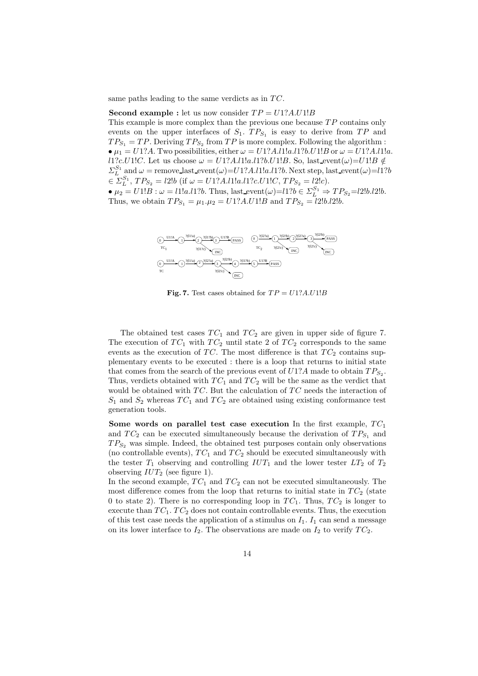same paths leading to the same verdicts as in  $TC$ .

#### **Second example :** let us now consider  $TP = U1?A.U1!B$

This example is more complex than the previous one because  $TP$  contains only events on the upper interfaces of  $S_1$ .  $TP_{S_1}$  is easy to derive from TP and  $TP_{S_1} = TP$ . Deriving  $TP_{S_2}$  from  $TP$  is more complex. Following the algorithm : •  $\mu_1 = U1?A$ . Two possibilities, either  $\omega = U1?A.11!a.11?b.11!B$  or  $\omega = U1?A.11!a$ . l1?c.U1!C. Let us choose  $\omega = U1?A.l1!a.l1?b.U1!B$ . So, last event $(\omega) = U1!B \notin$  $\Sigma_{L}^{S_1}$  and  $\omega$  = remove last event $(\omega)$ =U1?A.l1!a.l1?b. Next step, last event $(\omega)$ =U1?b  $\in \Sigma_{L}^{S_1}, TP_{S_2} = l2!b \text{ (if } \omega = U1?A.l1!a.l1?c.U1!C, TP_{S_2} = l2!c).$ •  $\mu_2 = U1!B$ :  $\omega = l1!a.l1?b$ . Thus, last event  $(\omega) = l1?b \in \sum_{L=1}^{S_1} \Rightarrow TP_{S_2} = l2!b.l2!b$ . Thus, we obtain  $TP_{S_1} = \mu_1 \cdot \mu_2 = U1?A.U1!B$  and  $TP_{S_2} = \ell 2!b.\ell 2!b$ .



**Fig. 7.** Test cases obtained for  $TP = U1?A.U1!B$ 

The obtained test cases  $TC_1$  and  $TC_2$  are given in upper side of figure 7. The execution of  $TC_1$  with  $TC_2$  until state 2 of  $TC_2$  corresponds to the same events as the execution of TC. The most difference is that  $TC_2$  contains supplementary events to be executed : there is a loop that returns to initial state that comes from the search of the previous event of  $U1?A$  made to obtain  $TP_{S_2}$ . Thus, verdicts obtained with  $TC_1$  and  $TC_2$  will be the same as the verdict that would be obtained with  $TC$ . But the calculation of  $TC$  needs the interaction of  $S_1$  and  $S_2$  whereas  $TC_1$  and  $TC_2$  are obtained using existing conformance test generation tools.

**Some words on parallel test case execution** In the first example,  $TC_1$ and  $TC_2$  can be executed simultaneously because the derivation of  $TP_{S_1}$  and  $TP_{S_2}$  was simple. Indeed, the obtained test purposes contain only observations (no controllable events),  $TC_1$  and  $TC_2$  should be executed simultaneously with the tester  $T_1$  observing and controlling  $IUT_1$  and the lower tester  $LT_2$  of  $T_2$ observing  $IUT_2$  (see figure 1).

In the second example,  $TC_1$  and  $TC_2$  can not be executed simultaneously. The most difference comes from the loop that returns to initial state in  $TC_2$  (state 0 to state 2). There is no corresponding loop in  $TC_1$ . Thus,  $TC_2$  is longer to execute than  $TC_1$ .  $TC_2$  does not contain controllable events. Thus, the execution of this test case needs the application of a stimulus on  $I_1$ .  $I_1$  can send a message on its lower interface to  $I_2$ . The observations are made on  $I_2$  to verify  $TC_2$ .